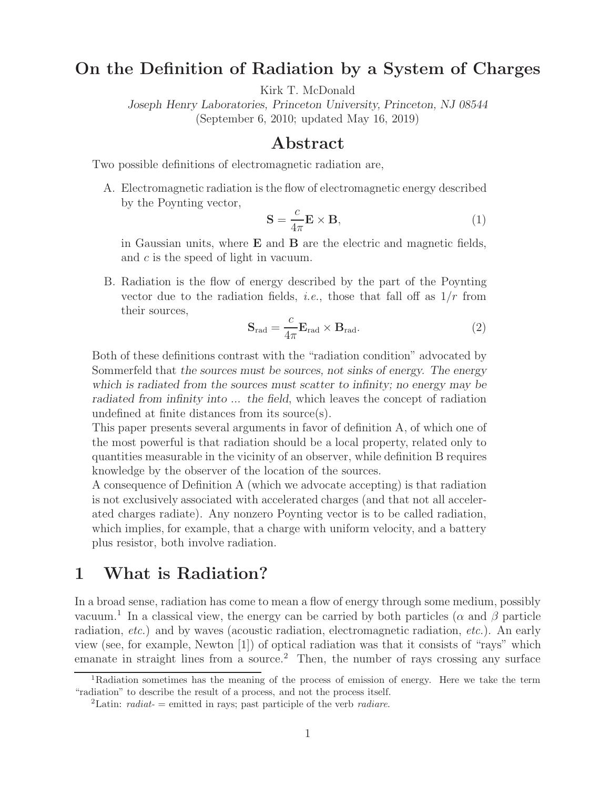## **On the Definition of Radiation by a System of Charges**

Kirk T. McDonald

*Joseph Henry Laboratories, Princeton University, Princeton, NJ 08544* (September 6, 2010; updated May 16, 2019)

### **Abstract**

Two possible definitions of electromagnetic radiation are,

A. Electromagnetic radiation is the flow of electromagnetic energy described by the Poynting vector,

$$
\mathbf{S} = \frac{c}{4\pi} \mathbf{E} \times \mathbf{B},\tag{1}
$$

in Gaussian units, where **E** and **B** are the electric and magnetic fields, and c is the speed of light in vacuum.

B. Radiation is the flow of energy described by the part of the Poynting vector due to the radiation fields, *i.e.*, those that fall off as  $1/r$  from their sources,

$$
\mathbf{S}_{\text{rad}} = \frac{c}{4\pi} \mathbf{E}_{\text{rad}} \times \mathbf{B}_{\text{rad}}.
$$
 (2)

Both of these definitions contrast with the "radiation condition" advocated by Sommerfeld that *the sources must be sources, not sinks of energy. The energy which is radiated from the sources must scatter to infinity; no energy may be radiated from infinity into ... the field*, which leaves the concept of radiation undefined at finite distances from its source(s).

This paper presents several arguments in favor of definition A, of which one of the most powerful is that radiation should be a local property, related only to quantities measurable in the vicinity of an observer, while definition B requires knowledge by the observer of the location of the sources.

A consequence of Definition A (which we advocate accepting) is that radiation is not exclusively associated with accelerated charges (and that not all accelerated charges radiate). Any nonzero Poynting vector is to be called radiation, which implies, for example, that a charge with uniform velocity, and a battery plus resistor, both involve radiation.

## **1 What is Radiation?**

In a broad sense, radiation has come to mean a flow of energy through some medium, possibly vacuum.<sup>1</sup> In a classical view, the energy can be carried by both particles ( $\alpha$  and  $\beta$  particle radiation, etc.) and by waves (acoustic radiation, electromagnetic radiation, etc.). An early view (see, for example, Newton [1]) of optical radiation was that it consists of "rays" which emanate in straight lines from a source.<sup>2</sup> Then, the number of rays crossing any surface

<sup>1</sup>Radiation sometimes has the meaning of the process of emission of energy. Here we take the term "radiation" to describe the result of a process, and not the process itself.

<sup>2</sup>Latin: *radiat-* = emitted in rays; past participle of the verb *radiare*.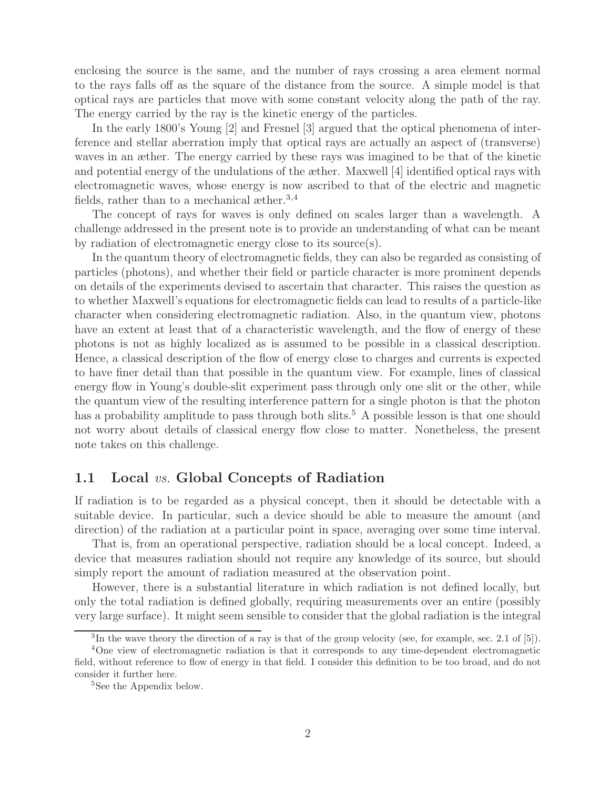enclosing the source is the same, and the number of rays crossing a area element normal to the rays falls off as the square of the distance from the source. A simple model is that optical rays are particles that move with some constant velocity along the path of the ray. The energy carried by the ray is the kinetic energy of the particles.

In the early 1800's Young [2] and Fresnel [3] argued that the optical phenomena of interference and stellar aberration imply that optical rays are actually an aspect of (transverse) waves in an æther. The energy carried by these rays was imagined to be that of the kinetic and potential energy of the undulations of the æther. Maxwell [4] identified optical rays with electromagnetic waves, whose energy is now ascribed to that of the electric and magnetic fields, rather than to a mechanical æther.<sup>3,4</sup>

The concept of rays for waves is only defined on scales larger than a wavelength. A challenge addressed in the present note is to provide an understanding of what can be meant by radiation of electromagnetic energy close to its source(s).

In the quantum theory of electromagnetic fields, they can also be regarded as consisting of particles (photons), and whether their field or particle character is more prominent depends on details of the experiments devised to ascertain that character. This raises the question as to whether Maxwell's equations for electromagnetic fields can lead to results of a particle-like character when considering electromagnetic radiation. Also, in the quantum view, photons have an extent at least that of a characteristic wavelength, and the flow of energy of these photons is not as highly localized as is assumed to be possible in a classical description. Hence, a classical description of the flow of energy close to charges and currents is expected to have finer detail than that possible in the quantum view. For example, lines of classical energy flow in Young's double-slit experiment pass through only one slit or the other, while the quantum view of the resulting interference pattern for a single photon is that the photon has a probability amplitude to pass through both slits.<sup>5</sup> A possible lesson is that one should not worry about details of classical energy flow close to matter. Nonetheless, the present note takes on this challenge.

#### **1.1 Local** vs. **Global Concepts of Radiation**

If radiation is to be regarded as a physical concept, then it should be detectable with a suitable device. In particular, such a device should be able to measure the amount (and direction) of the radiation at a particular point in space, averaging over some time interval.

That is, from an operational perspective, radiation should be a local concept. Indeed, a device that measures radiation should not require any knowledge of its source, but should simply report the amount of radiation measured at the observation point.

However, there is a substantial literature in which radiation is not defined locally, but only the total radiation is defined globally, requiring measurements over an entire (possibly very large surface). It might seem sensible to consider that the global radiation is the integral

<sup>3</sup>In the wave theory the direction of a ray is that of the group velocity (see, for example, sec. 2.1 of [5]).

<sup>&</sup>lt;sup>4</sup>One view of electromagnetic radiation is that it corresponds to any time-dependent electromagnetic field, without reference to flow of energy in that field. I consider this definition to be too broad, and do not consider it further here.

<sup>&</sup>lt;sup>5</sup>See the Appendix below.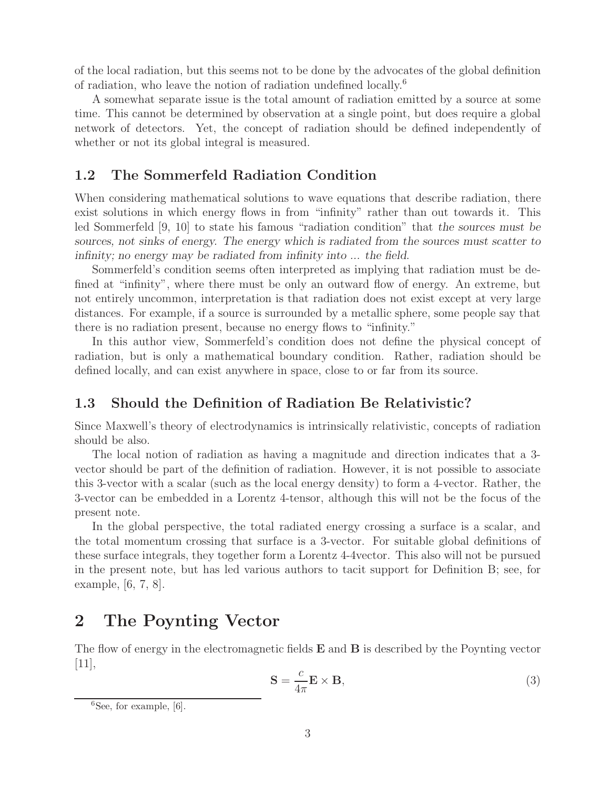of the local radiation, but this seems not to be done by the advocates of the global definition of radiation, who leave the notion of radiation undefined locally.<sup>6</sup>

A somewhat separate issue is the total amount of radiation emitted by a source at some time. This cannot be determined by observation at a single point, but does require a global network of detectors. Yet, the concept of radiation should be defined independently of whether or not its global integral is measured.

#### **1.2 The Sommerfeld Radiation Condition**

When considering mathematical solutions to wave equations that describe radiation, there exist solutions in which energy flows in from "infinity" rather than out towards it. This led Sommerfeld [9, 10] to state his famous "radiation condition" that *the sources must be sources, not sinks of energy. The energy which is radiated from the sources must scatter to infinity; no energy may be radiated from infinity into ... the field*.

Sommerfeld's condition seems often interpreted as implying that radiation must be defined at "infinity", where there must be only an outward flow of energy. An extreme, but not entirely uncommon, interpretation is that radiation does not exist except at very large distances. For example, if a source is surrounded by a metallic sphere, some people say that there is no radiation present, because no energy flows to "infinity."

In this author view, Sommerfeld's condition does not define the physical concept of radiation, but is only a mathematical boundary condition. Rather, radiation should be defined locally, and can exist anywhere in space, close to or far from its source.

### **1.3 Should the Definition of Radiation Be Relativistic?**

Since Maxwell's theory of electrodynamics is intrinsically relativistic, concepts of radiation should be also.

The local notion of radiation as having a magnitude and direction indicates that a 3 vector should be part of the definition of radiation. However, it is not possible to associate this 3-vector with a scalar (such as the local energy density) to form a 4-vector. Rather, the 3-vector can be embedded in a Lorentz 4-tensor, although this will not be the focus of the present note.

In the global perspective, the total radiated energy crossing a surface is a scalar, and the total momentum crossing that surface is a 3-vector. For suitable global definitions of these surface integrals, they together form a Lorentz 4-4vector. This also will not be pursued in the present note, but has led various authors to tacit support for Definition B; see, for example, [6, 7, 8].

## **2 The Poynting Vector**

The flow of energy in the electromagnetic fields **E** and **B** is described by the Poynting vector  $|11|,$ 

$$
\mathbf{S} = \frac{c}{4\pi} \mathbf{E} \times \mathbf{B},\tag{3}
$$

 ${}^{6}$ See, for example, [6].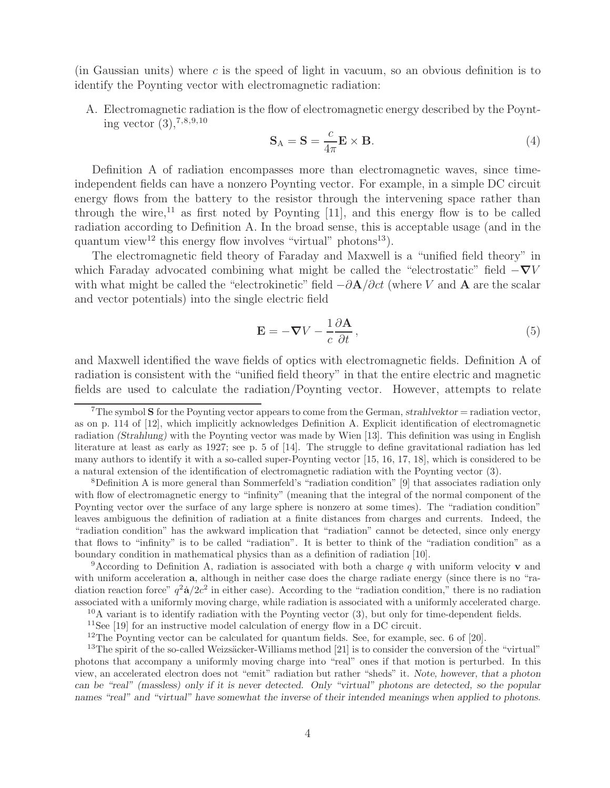(in Gaussian units) where c is the speed of light in vacuum, so an obvious definition is to identify the Poynting vector with electromagnetic radiation:

A. Electromagnetic radiation is the flow of electromagnetic energy described by the Poynting vector  $(3)$ , <sup>7,8,9,10</sup>

$$
\mathbf{S}_{\mathbf{A}} = \mathbf{S} = \frac{c}{4\pi} \mathbf{E} \times \mathbf{B}.
$$
 (4)

Definition A of radiation encompasses more than electromagnetic waves, since timeindependent fields can have a nonzero Poynting vector. For example, in a simple DC circuit energy flows from the battery to the resistor through the intervening space rather than through the wire,<sup>11</sup> as first noted by Poynting [11], and this energy flow is to be called radiation according to Definition A. In the broad sense, this is acceptable usage (and in the quantum view<sup>12</sup> this energy flow involves "virtual" photons<sup>13</sup>).

The electromagnetic field theory of Faraday and Maxwell is a "unified field theory" in which Faraday advocated combining what might be called the "electrostatic" field <sup>−</sup>*∇*<sup>V</sup> with what might be called the "electrokinetic" field <sup>−</sup>∂**A**/∂ct (where <sup>V</sup> and **<sup>A</sup>** are the scalar and vector potentials) into the single electric field

$$
\mathbf{E} = -\nabla V - \frac{1}{c} \frac{\partial \mathbf{A}}{\partial t},\tag{5}
$$

and Maxwell identified the wave fields of optics with electromagnetic fields. Definition A of radiation is consistent with the "unified field theory" in that the entire electric and magnetic fields are used to calculate the radiation/Poynting vector. However, attempts to relate

<sup>7</sup>The symbol **S** for the Poynting vector appears to come from the German, *strahlvektor* = radiation vector, as on p. 114 of [12], which implicitly acknowledges Definition A. Explicit identification of electromagnetic radiation *(Strahlung)* with the Poynting vector was made by Wien [13]. This definition was using in English literature at least as early as 1927; see p. 5 of [14]. The struggle to define gravitational radiation has led many authors to identify it with a so-called super-Poynting vector [15, 16, 17, 18], which is considered to be a natural extension of the identification of electromagnetic radiation with the Poynting vector (3).

<sup>8</sup>Definition A is more general than Sommerfeld's "radiation condition" [9] that associates radiation only with flow of electromagnetic energy to "infinity" (meaning that the integral of the normal component of the Poynting vector over the surface of any large sphere is nonzero at some times). The "radiation condition" leaves ambiguous the definition of radiation at a finite distances from charges and currents. Indeed, the "radiation condition" has the awkward implication that "radiation" cannot be detected, since only energy that flows to "infinity" is to be called "radiation". It is better to think of the "radiation condition" as a boundary condition in mathematical physics than as a definition of radiation [10].

<sup>9</sup>According to Definition A, radiation is associated with both a charge q with uniform velocity **v** and with uniform acceleration **a**, although in neither case does the charge radiate energy (since there is no "radiation reaction force"  $q^2\dot{a}/2c^2$  in either case). According to the "radiation condition," there is no radiation associated with a uniformly moving charge, while radiation is associated with a uniformly accelerated charge.

 $^{10}$ A variant is to identify radiation with the Poynting vector (3), but only for time-dependent fields.

<sup>&</sup>lt;sup>11</sup>See [19] for an instructive model calculation of energy flow in a DC circuit.

 $12$ The Poynting vector can be calculated for quantum fields. See, for example, sec. 6 of [20].

 $13$ The spirit of the so-called Weizsäcker-Williams method [21] is to consider the conversion of the "virtual" photons that accompany a uniformly moving charge into "real" ones if that motion is perturbed. In this view, an accelerated electron does not "emit" radiation but rather "sheds" it. *Note, however, that a photon can be "real" (massless) only if it is never detected. Only "virtual" photons are detected, so the popular names "real" and "virtual" have somewhat the inverse of their intended meanings when applied to photons.*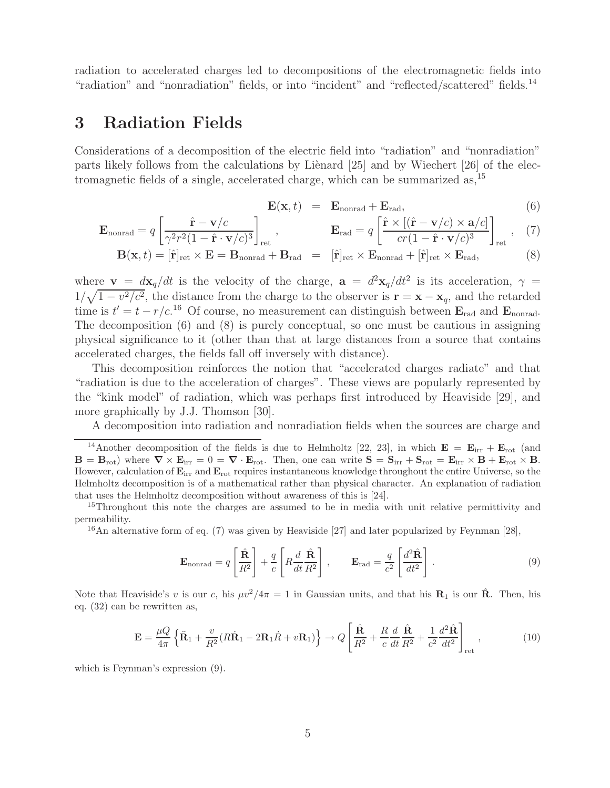radiation to accelerated charges led to decompositions of the electromagnetic fields into "radiation" and "nonradiation" fields, or into "incident" and "reflected/scattered" fields.<sup>14</sup>

## **3 Radiation Fields**

Considerations of a decomposition of the electric field into "radiation" and "nonradiation" parts likely follows from the calculations by Liènard  $[25]$  and by Wiechert  $[26]$  of the electromagnetic fields of a single, accelerated charge, which can be summarized as,<sup>15</sup>

$$
\mathbf{E}(\mathbf{x},t) = \mathbf{E}_{\text{nonrad}} + \mathbf{E}_{\text{rad}}, \qquad (6)
$$

$$
\mathbf{E}_{\text{nonrad}} = q \left[ \frac{\hat{\mathbf{r}} - \mathbf{v}/c}{\gamma^2 r^2 (1 - \hat{\mathbf{r}} \cdot \mathbf{v}/c)^3} \right]_{\text{ret}}, \qquad \mathbf{E}_{\text{rad}} = q \left[ \frac{\hat{\mathbf{r}} \times [(\hat{\mathbf{r}} - \mathbf{v}/c) \times \mathbf{a}/c]}{c r (1 - \hat{\mathbf{r}} \cdot \mathbf{v}/c)^3} \right]_{\text{ret}}, \quad (7)
$$

$$
\mathbf{B}(\mathbf{x},t) = [\hat{\mathbf{r}}]_{\text{ret}} \times \mathbf{E} = \mathbf{B}_{\text{nonrad}} + \mathbf{B}_{\text{rad}} = [\hat{\mathbf{r}}]_{\text{ret}} \times \mathbf{E}_{\text{nonrad}} + [\hat{\mathbf{r}}]_{\text{ret}} \times \mathbf{E}_{\text{rad}},
$$
(8)

where **v** =  $d\mathbf{x}_q/dt$  is the velocity of the charge,  $\mathbf{a} = d^2\mathbf{x}_q/dt^2$  is its acceleration,  $\gamma$  =  $1/\sqrt{1-v^2/c^2}$ , the distance from the charge to the observer is  $\mathbf{r} = \mathbf{x} - \mathbf{x}_q$ , and the retarded time is  $t' = t - r/c$ .<sup>16</sup> Of course, no measurement can distinguish between  $\mathbf{E}_{\text{rad}}$  and  $\mathbf{E}_{\text{nonrad}}$ . The decomposition (6) and (8) is purely conceptual, so one must be cautious in assigning physical significance to it (other than that at large distances from a source that contains accelerated charges, the fields fall off inversely with distance).

This decomposition reinforces the notion that "accelerated charges radiate" and that "radiation is due to the acceleration of charges". These views are popularly represented by the "kink model" of radiation, which was perhaps first introduced by Heaviside [29], and more graphically by J.J. Thomson [30].

A decomposition into radiation and nonradiation fields when the sources are charge and

<sup>16</sup>An alternative form of eq. (7) was given by Heaviside [27] and later popularized by Feynman [28],

$$
\mathbf{E}_{\text{nonrad}} = q \left[ \frac{\hat{\mathbf{R}}}{R^2} \right] + \frac{q}{c} \left[ R \frac{d}{dt} \frac{\hat{\mathbf{R}}}{R^2} \right], \qquad \mathbf{E}_{\text{rad}} = \frac{q}{c^2} \left[ \frac{d^2 \hat{\mathbf{R}}}{dt^2} \right]. \tag{9}
$$

Note that Heaviside's v is our c, his  $\mu v^2/4\pi = 1$  in Gaussian units, and that his **R**<sub>1</sub> is our **R**<sup> $\hat{\bf R}$ . Then, his</sup> eq. (32) can be rewritten as,

$$
\mathbf{E} = \frac{\mu Q}{4\pi} \left\{ \dot{\mathbf{R}}_1 + \frac{v}{R^2} (R\dot{\mathbf{R}}_1 - 2\mathbf{R}_1 \dot{R} + v\mathbf{R}_1) \right\} \to Q \left[ \frac{\hat{\mathbf{R}}}{R^2} + \frac{R}{c} \frac{d}{dt} \frac{\hat{\mathbf{R}}}{R^2} + \frac{1}{c^2} \frac{d^2 \hat{\mathbf{R}}}{dt^2} \right]_{\text{ret}},
$$
(10)

which is Feynman's expression (9).

<sup>&</sup>lt;sup>14</sup>Another decomposition of the fields is due to Helmholtz [22, 23], in which  $\mathbf{E} = \mathbf{E}_{irr} + \mathbf{E}_{rot}$  (and  $\mathbf{B} = \mathbf{B}_{\text{rot}}$  where  $\nabla \times \mathbf{E}_{\text{irr}} = 0 = \nabla \cdot \mathbf{E}_{\text{rot}}$ . Then, one can write  $\mathbf{S} = \mathbf{S}_{\text{irr}} + \mathbf{S}_{\text{rot}} = \mathbf{E}_{\text{irr}} \times \mathbf{B} + \mathbf{E}_{\text{rot}} \times \mathbf{B}$ . However, calculation of **E**irr and **E**rot requires instantaneous knowledge throughout the entire Universe, so the Helmholtz decomposition is of a mathematical rather than physical character. An explanation of radiation that uses the Helmholtz decomposition without awareness of this is [24].

<sup>&</sup>lt;sup>15</sup>Throughout this note the charges are assumed to be in media with unit relative permittivity and permeability.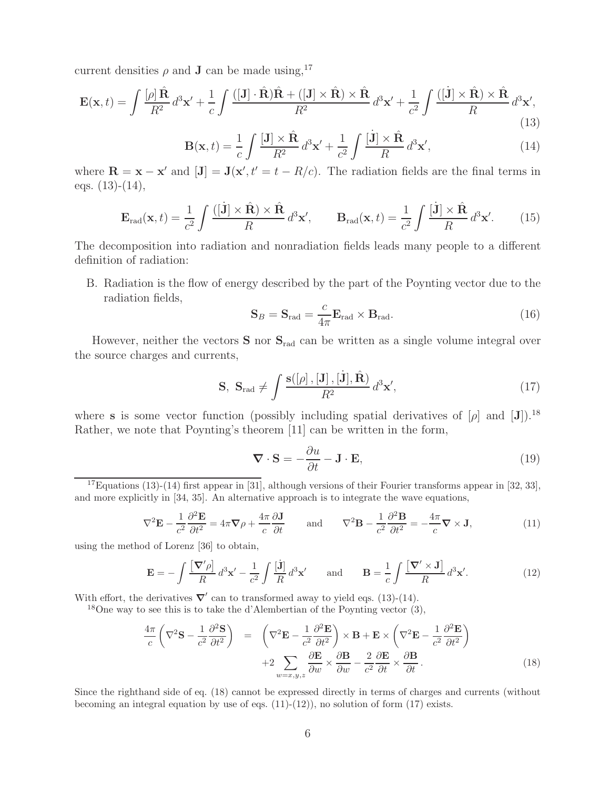current densities  $\rho$  and **J** can be made using,<sup>17</sup>

$$
\mathbf{E}(\mathbf{x},t) = \int \frac{[\rho] \,\hat{\mathbf{R}}}{R^2} \, d^3 \mathbf{x}' + \frac{1}{c} \int \frac{([\mathbf{J}] \cdot \hat{\mathbf{R}}) \hat{\mathbf{R}} + ([\mathbf{J}] \times \hat{\mathbf{R}}) \times \hat{\mathbf{R}}}{R^2} \, d^3 \mathbf{x}' + \frac{1}{c^2} \int \frac{([\mathbf{j}] \times \hat{\mathbf{R}}) \times \hat{\mathbf{R}}}{R} \, d^3 \mathbf{x}',\tag{13}
$$

$$
\mathbf{B}(\mathbf{x},t) = \frac{1}{c} \int \frac{[\mathbf{J}] \times \hat{\mathbf{R}}}{R^2} d^3 \mathbf{x}' + \frac{1}{c^2} \int \frac{[\dot{\mathbf{J}}] \times \hat{\mathbf{R}}}{R} d^3 \mathbf{x}',\tag{14}
$$

where  $\mathbf{R} = \mathbf{x} - \mathbf{x}'$  and  $[\mathbf{J}] = \mathbf{J}(\mathbf{x}', t' = t - R/c)$ . The radiation fields are the final terms in eqs.  $(13)-(14)$ ,

$$
\mathbf{E}_{\rm rad}(\mathbf{x},t) = \frac{1}{c^2} \int \frac{([\dot{\mathbf{J}}] \times \hat{\mathbf{R}}) \times \hat{\mathbf{R}}}{R} d^3 \mathbf{x}', \qquad \mathbf{B}_{\rm rad}(\mathbf{x},t) = \frac{1}{c^2} \int \frac{[\dot{\mathbf{J}}] \times \hat{\mathbf{R}}}{R} d^3 \mathbf{x}'. \tag{15}
$$

The decomposition into radiation and nonradiation fields leads many people to a different definition of radiation:

B. Radiation is the flow of energy described by the part of the Poynting vector due to the radiation fields,

$$
\mathbf{S}_B = \mathbf{S}_{\text{rad}} = \frac{c}{4\pi} \mathbf{E}_{\text{rad}} \times \mathbf{B}_{\text{rad}}.
$$
 (16)

However, neither the vectors **S** nor **S**rad can be written as a single volume integral over the source charges and currents,

$$
\mathbf{S}, \ \mathbf{S}_{\text{rad}} \neq \int \frac{\mathbf{s}([\rho], [\mathbf{J}], [\dot{\mathbf{J}}], \hat{\mathbf{R}})}{R^2} d^3 \mathbf{x}', \tag{17}
$$

where **s** is some vector function (possibly including spatial derivatives of  $[\rho]$  and  $[\mathbf{J}]$ ).<sup>18</sup> Rather, we note that Poynting's theorem [11] can be written in the form,

$$
\nabla \cdot \mathbf{S} = -\frac{\partial u}{\partial t} - \mathbf{J} \cdot \mathbf{E},\tag{19}
$$

<sup>17</sup>Equations (13)-(14) first appear in [31], although versions of their Fourier transforms appear in [32, 33], and more explicitly in [34, 35]. An alternative approach is to integrate the wave equations,

$$
\nabla^2 \mathbf{E} - \frac{1}{c^2} \frac{\partial^2 \mathbf{E}}{\partial t^2} = 4\pi \nabla \rho + \frac{4\pi}{c} \frac{\partial \mathbf{J}}{\partial t} \quad \text{and} \quad \nabla^2 \mathbf{B} - \frac{1}{c^2} \frac{\partial^2 \mathbf{B}}{\partial t^2} = -\frac{4\pi}{c} \nabla \times \mathbf{J}, \tag{11}
$$

using the method of Lorenz [36] to obtain,

$$
\mathbf{E} = -\int \frac{\left[\nabla' \rho\right]}{R} d^3 \mathbf{x}' - \frac{1}{c^2} \int \frac{\left[\mathbf{j}\right]}{R} d^3 \mathbf{x}' \quad \text{and} \quad \mathbf{B} = \frac{1}{c} \int \frac{\left[\nabla' \times \mathbf{J}\right]}{R} d^3 \mathbf{x}'.
$$
 (12)

With effort, the derivatives  $\nabla'$  can to transformed away to yield eqs. (13)-(14).

<sup>18</sup>One way to see this is to take the d'Alembertian of the Poynting vector  $(3)$ ,

$$
\frac{4\pi}{c} \left( \nabla^2 \mathbf{S} - \frac{1}{c^2} \frac{\partial^2 \mathbf{S}}{\partial t^2} \right) = \left( \nabla^2 \mathbf{E} - \frac{1}{c^2} \frac{\partial^2 \mathbf{E}}{\partial t^2} \right) \times \mathbf{B} + \mathbf{E} \times \left( \nabla^2 \mathbf{E} - \frac{1}{c^2} \frac{\partial^2 \mathbf{E}}{\partial t^2} \right) \n+2 \sum_{w=x,y,z} \frac{\partial \mathbf{E}}{\partial w} \times \frac{\partial \mathbf{B}}{\partial w} - \frac{2}{c^2} \frac{\partial \mathbf{E}}{\partial t} \times \frac{\partial \mathbf{B}}{\partial t}.
$$
\n(18)

Since the righthand side of eq. (18) cannot be expressed directly in terms of charges and currents (without becoming an integral equation by use of eqs.  $(11)-(12)$ ), no solution of form  $(17)$  exists.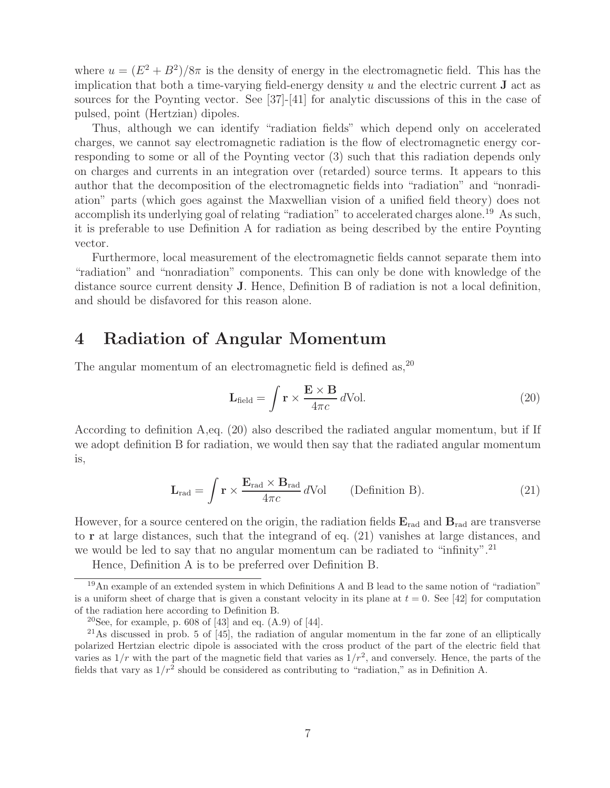where  $u = (E^2 + B^2)/8\pi$  is the density of energy in the electromagnetic field. This has the implication that both a time-varying field-energy density u and the electric current **J** act as sources for the Poynting vector. See [37]-[41] for analytic discussions of this in the case of pulsed, point (Hertzian) dipoles.

Thus, although we can identify "radiation fields" which depend only on accelerated charges, we cannot say electromagnetic radiation is the flow of electromagnetic energy corresponding to some or all of the Poynting vector (3) such that this radiation depends only on charges and currents in an integration over (retarded) source terms. It appears to this author that the decomposition of the electromagnetic fields into "radiation" and "nonradiation" parts (which goes against the Maxwellian vision of a unified field theory) does not accomplish its underlying goal of relating "radiation" to accelerated charges alone.<sup>19</sup> As such, it is preferable to use Definition A for radiation as being described by the entire Poynting vector.

Furthermore, local measurement of the electromagnetic fields cannot separate them into "radiation" and "nonradiation" components. This can only be done with knowledge of the distance source current density **J**. Hence, Definition B of radiation is not a local definition, and should be disfavored for this reason alone.

### **4 Radiation of Angular Momentum**

The angular momentum of an electromagnetic field is defined as,  $20$ 

$$
\mathbf{L}_{\text{field}} = \int \mathbf{r} \times \frac{\mathbf{E} \times \mathbf{B}}{4\pi c} d\text{Vol.}
$$
 (20)

According to definition A,eq. (20) also described the radiated angular momentum, but if If we adopt definition B for radiation, we would then say that the radiated angular momentum is,

$$
\mathbf{L}_{\text{rad}} = \int \mathbf{r} \times \frac{\mathbf{E}_{\text{rad}} \times \mathbf{B}_{\text{rad}}}{4\pi c} d\text{Vol}
$$
 (Definition B). (21)

However, for a source centered on the origin, the radiation fields  $\mathbf{E}_{rad}$  and  $\mathbf{B}_{rad}$  are transverse to **r** at large distances, such that the integrand of eq. (21) vanishes at large distances, and we would be led to say that no angular momentum can be radiated to "infinity".<sup>21</sup>

Hence, Definition A is to be preferred over Definition B.

<sup>19</sup>An example of an extended system in which Definitions A and B lead to the same notion of "radiation" is a uniform sheet of charge that is given a constant velocity in its plane at  $t = 0$ . See [42] for computation of the radiation here according to Definition B.

<sup>&</sup>lt;sup>20</sup>See, for example, p. 608 of [43] and eq.  $(A.9)$  of [44].

 $21\text{As discussed in prob. 5 of } [45]$ , the radiation of angular momentum in the far zone of an elliptically polarized Hertzian electric dipole is associated with the cross product of the part of the electric field that varies as  $1/r$  with the part of the magnetic field that varies as  $1/r^2$ , and conversely. Hence, the parts of the fields that vary as  $1/r^2$  should be considered as contributing to "radiation," as in Definition A.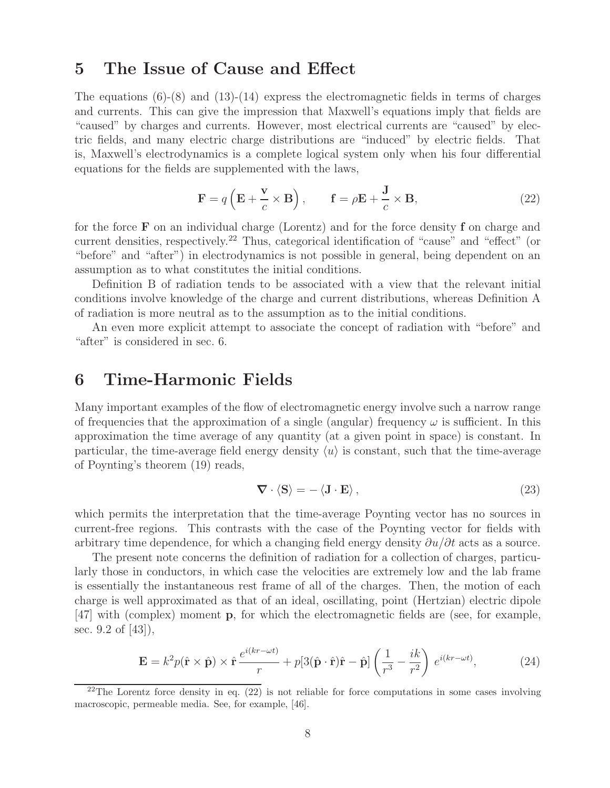## **5 The Issue of Cause and Effect**

The equations  $(6)-(8)$  and  $(13)-(14)$  express the electromagnetic fields in terms of charges and currents. This can give the impression that Maxwell's equations imply that fields are "caused" by charges and currents. However, most electrical currents are "caused" by electric fields, and many electric charge distributions are "induced" by electric fields. That is, Maxwell's electrodynamics is a complete logical system only when his four differential equations for the fields are supplemented with the laws,

$$
\mathbf{F} = q\left(\mathbf{E} + \frac{\mathbf{v}}{c} \times \mathbf{B}\right), \qquad \mathbf{f} = \rho \mathbf{E} + \frac{\mathbf{J}}{c} \times \mathbf{B}, \tag{22}
$$

for the force **F** on an individual charge (Lorentz) and for the force density **f** on charge and current densities, respectively.<sup>22</sup> Thus, categorical identification of "cause" and "effect" (or "before" and "after") in electrodynamics is not possible in general, being dependent on an assumption as to what constitutes the initial conditions.

Definition B of radiation tends to be associated with a view that the relevant initial conditions involve knowledge of the charge and current distributions, whereas Definition A of radiation is more neutral as to the assumption as to the initial conditions.

An even more explicit attempt to associate the concept of radiation with "before" and "after" is considered in sec. 6.

## **6 Time-Harmonic Fields**

Many important examples of the flow of electromagnetic energy involve such a narrow range of frequencies that the approximation of a single (angular) frequency  $\omega$  is sufficient. In this approximation the time average of any quantity (at a given point in space) is constant. In particular, the time-average field energy density  $\langle u \rangle$  is constant, such that the time-average of Poynting's theorem (19) reads,

$$
\nabla \cdot \langle \mathbf{S} \rangle = - \langle \mathbf{J} \cdot \mathbf{E} \rangle, \tag{23}
$$

which permits the interpretation that the time-average Poynting vector has no sources in current-free regions. This contrasts with the case of the Poynting vector for fields with arbitrary time dependence, for which a changing field energy density  $\partial u/\partial t$  acts as a source.

The present note concerns the definition of radiation for a collection of charges, particularly those in conductors, in which case the velocities are extremely low and the lab frame is essentially the instantaneous rest frame of all of the charges. Then, the motion of each charge is well approximated as that of an ideal, oscillating, point (Hertzian) electric dipole [47] with (complex) moment **p**, for which the electromagnetic fields are (see, for example, sec. 9.2 of [43]),

$$
\mathbf{E} = k^2 p(\hat{\mathbf{r}} \times \hat{\mathbf{p}}) \times \hat{\mathbf{r}} \frac{e^{i(kr - \omega t)}}{r} + p[3(\hat{\mathbf{p}} \cdot \hat{\mathbf{r}})\hat{\mathbf{r}} - \hat{\mathbf{p}}] \left(\frac{1}{r^3} - \frac{ik}{r^2}\right) e^{i(kr - \omega t)},\tag{24}
$$

 $22$ The Lorentz force density in eq. (22) is not reliable for force computations in some cases involving macroscopic, permeable media. See, for example, [46].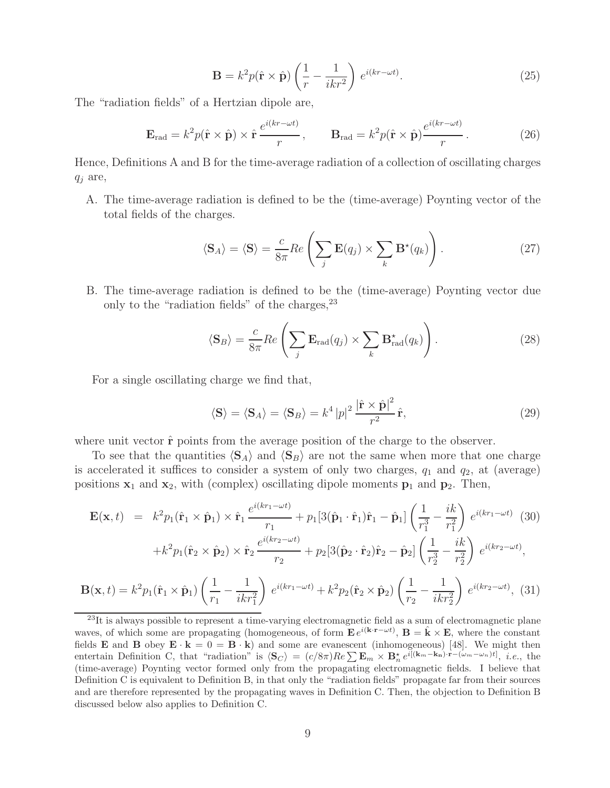$$
\mathbf{B} = k^2 p(\hat{\mathbf{r}} \times \hat{\mathbf{p}}) \left( \frac{1}{r} - \frac{1}{ikr^2} \right) e^{i(kr - \omega t)}.
$$
 (25)

The "radiation fields" of a Hertzian dipole are,

$$
\mathbf{E}_{\rm rad} = k^2 p(\hat{\mathbf{r}} \times \hat{\mathbf{p}}) \times \hat{\mathbf{r}} \frac{e^{i(kr - \omega t)}}{r}, \qquad \mathbf{B}_{\rm rad} = k^2 p(\hat{\mathbf{r}} \times \hat{\mathbf{p}}) \frac{e^{i(kr - \omega t)}}{r}.
$$
 (26)

Hence, Definitions A and B for the time-average radiation of a collection of oscillating charges  $q_i$  are,

A. The time-average radiation is defined to be the (time-average) Poynting vector of the total fields of the charges.

$$
\langle \mathbf{S}_A \rangle = \langle \mathbf{S} \rangle = \frac{c}{8\pi} Re \left( \sum_j \mathbf{E}(q_j) \times \sum_k \mathbf{B}^{\star}(q_k) \right). \tag{27}
$$

B. The time-average radiation is defined to be the (time-average) Poynting vector due only to the "radiation fields" of the charges,  $2^3$ 

$$
\langle \mathbf{S}_B \rangle = \frac{c}{8\pi} Re \left( \sum_j \mathbf{E}_{\text{rad}}(q_j) \times \sum_k \mathbf{B}_{\text{rad}}^{\star}(q_k) \right). \tag{28}
$$

For a single oscillating charge we find that,

$$
\langle \mathbf{S} \rangle = \langle \mathbf{S}_A \rangle = \langle \mathbf{S}_B \rangle = k^4 |p|^2 \frac{|\hat{\mathbf{r}} \times \hat{\mathbf{p}}|^2}{r^2} \hat{\mathbf{r}},
$$
(29)

where unit vector  $\hat{\mathbf{r}}$  points from the average position of the charge to the observer.

To see that the quantities  $\langle S_A \rangle$  and  $\langle S_B \rangle$  are not the same when more that one charge is accelerated it suffices to consider a system of only two charges,  $q_1$  and  $q_2$ , at (average) positions  $\mathbf{x}_1$  and  $\mathbf{x}_2$ , with (complex) oscillating dipole moments  $\mathbf{p}_1$  and  $\mathbf{p}_2$ . Then,

$$
\mathbf{E}(\mathbf{x},t) = k^2 p_1(\hat{\mathbf{r}}_1 \times \hat{\mathbf{p}}_1) \times \hat{\mathbf{r}}_1 \frac{e^{i(kr_1 - \omega t)}}{r_1} + p_1[3(\hat{\mathbf{p}}_1 \cdot \hat{\mathbf{r}}_1)\hat{\mathbf{r}}_1 - \hat{\mathbf{p}}_1] \left(\frac{1}{r_1^3} - \frac{ik}{r_1^2}\right) e^{i(kr_1 - \omega t)} \tag{30}
$$

$$
+ k^2 p_1(\hat{\mathbf{r}}_2 \times \hat{\mathbf{p}}_2) \times \hat{\mathbf{r}}_2 \frac{e^{i(kr_2 - \omega t)}}{r_2} + p_2[3(\hat{\mathbf{p}}_2 \cdot \hat{\mathbf{r}}_2)\hat{\mathbf{r}}_2 - \hat{\mathbf{p}}_2] \left(\frac{1}{r_2^3} - \frac{ik}{r_2^2}\right) e^{i(kr_2 - \omega t)},
$$

$$
\mathbf{B}(\mathbf{x},t) = k^2 p_1(\hat{\mathbf{r}}_1 \times \hat{\mathbf{p}}_1) \left(\frac{1}{r_1} - \frac{1}{ikr_1^2}\right) e^{i(kr_1 - \omega t)} + k^2 p_2(\hat{\mathbf{r}}_2 \times \hat{\mathbf{p}}_2) \left(\frac{1}{r_2} - \frac{1}{ikr_2^2}\right) e^{i(kr_2 - \omega t)},
$$
(31)

<sup>&</sup>lt;sup>23</sup>It is always possible to represent a time-varying electromagnetic field as a sum of electromagnetic plane waves, of which some are propagating (homogeneous, of form  $\mathbf{E} e^{i(\mathbf{k}\cdot\mathbf{r}-\omega t)}$ ,  $\mathbf{B} = \hat{\mathbf{k}} \times \mathbf{E}$ , where the constant fields **E** and **B** obey  $\mathbf{E} \cdot \mathbf{k} = 0 = \mathbf{B} \cdot \mathbf{k}$ ) and some are evanescent (inhomogeneous) [48]. We might then entertain Definition C, that "radiation" is  $\langle S_C \rangle = (c/8\pi)Re \sum E_m \times B_n^* e^{i[(\mathbf{k}_m - \mathbf{k}_n)\cdot\mathbf{r} - (\omega_m - \omega_n)t]}, i.e.,$  the (time-average) Poynting vector formed only from the propagating electromagnetic fields. I believe that Definition C is equivalent to Definition B, in that only the "radiation fields" propagate far from their sources and are therefore represented by the propagating waves in Definition C. Then, the objection to Definition B discussed below also applies to Definition C.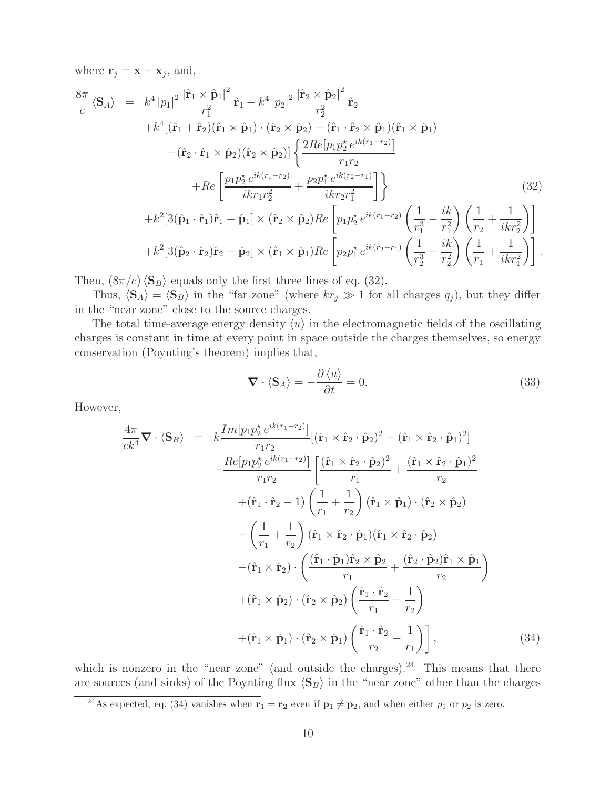where  $\mathbf{r}_j = \mathbf{x} - \mathbf{x}_j$ , and,

$$
\frac{8\pi}{c} \langle \mathbf{S}_{A} \rangle = k^{4} |p_{1}|^{2} \frac{|\hat{\mathbf{r}}_{1} \times \hat{\mathbf{p}}_{1}|^{2}}{r_{1}^{2}} \hat{\mathbf{r}}_{1} + k^{4} |p_{2}|^{2} \frac{|\hat{\mathbf{r}}_{2} \times \hat{\mathbf{p}}_{2}|^{2}}{r_{2}^{2}} \hat{\mathbf{r}}_{2} \n+ k^{4} [(\hat{\mathbf{r}}_{1} + \hat{\mathbf{r}}_{2})(\hat{\mathbf{r}}_{1} \times \hat{\mathbf{p}}_{1}) \cdot (\hat{\mathbf{r}}_{2} \times \hat{\mathbf{p}}_{2}) - (\hat{\mathbf{r}}_{1} \cdot \hat{\mathbf{r}}_{2} \times \hat{\mathbf{p}}_{1})(\hat{\mathbf{r}}_{1} \times \hat{\mathbf{p}}_{1}) \n- (\hat{\mathbf{r}}_{2} \cdot \hat{\mathbf{r}}_{1} \times \hat{\mathbf{p}}_{2})(\hat{\mathbf{r}}_{2} \times \hat{\mathbf{p}}_{2}) \left\{ \frac{2Re[p_{1}p_{2}^{*}e^{ik(r_{1}-r_{2})}]}{r_{1}r_{2}} + Re \left[ \frac{p_{1}p_{2}^{*}e^{ik(r_{1}-r_{2})}}{ikr_{1}r_{2}^{2}} + \frac{p_{2}p_{1}^{*}e^{ik(r_{2}-r_{1})}}{ikr_{2}r_{1}^{2}} \right] \right\} \n+ k^{2} [3(\hat{\mathbf{p}}_{1} \cdot \hat{\mathbf{r}}_{1})\hat{\mathbf{r}}_{1} - \hat{\mathbf{p}}_{1}] \times (\hat{\mathbf{r}}_{2} \times \hat{\mathbf{p}}_{2}) Re \left[ p_{1}p_{2}^{*}e^{ik(r_{1}-r_{2})} \left( \frac{1}{r_{1}^{3}} - \frac{ik}{r_{1}^{2}} \right) \left( \frac{1}{r_{2}} + \frac{1}{ikr_{2}^{2}} \right) \right] \n+ k^{2} [3(\hat{\mathbf{p}}_{2} \cdot \hat{\mathbf{r}}_{2})\hat{\mathbf{r}}_{2} - \hat{\mathbf{p}}_{2}] \times (\hat{\mathbf{r}}_{1} \times \hat{\mathbf{p}}_{1}) Re \left[ p_{2}p_{1}^{
$$

Then,  $(8\pi/c)\langle\mathbf{S}_B\rangle$  equals only the first three lines of eq. (32).

Thus,  $\langle S_A \rangle = \langle S_B \rangle$  in the "far zone" (where  $kr_j \gg 1$  for all charges  $q_j$ ), but they differ in the "near zone" close to the source charges.

The total time-average energy density  $\langle u \rangle$  in the electromagnetic fields of the oscillating charges is constant in time at every point in space outside the charges themselves, so energy conservation (Poynting's theorem) implies that,

$$
\nabla \cdot \langle \mathbf{S}_A \rangle = -\frac{\partial \langle u \rangle}{\partial t} = 0. \tag{33}
$$

However,

$$
\frac{4\pi}{ck^4}\nabla \cdot \langle \mathbf{S}_B \rangle = k \frac{Im[p_1p_2^* e^{ik(r_1 - r_2)}]}{r_1 r_2} [(\hat{\mathbf{r}}_1 \times \hat{\mathbf{r}}_2 \cdot \hat{\mathbf{p}}_2)^2 - (\hat{\mathbf{r}}_1 \times \hat{\mathbf{r}}_2 \cdot \hat{\mathbf{p}}_1)^2]
$$
\n
$$
- \frac{Re[p_1p_2^* e^{ik(r_1 - r_2)}]}{r_1 r_2} \left[ \frac{(\hat{\mathbf{r}}_1 \times \hat{\mathbf{r}}_2 \cdot \hat{\mathbf{p}}_2)^2}{r_1} + \frac{(\hat{\mathbf{r}}_1 \times \hat{\mathbf{r}}_2 \cdot \hat{\mathbf{p}}_1)^2}{r_2} + (\hat{\mathbf{r}}_1 \cdot \hat{\mathbf{r}}_2 - 1) \left( \frac{1}{r_1} + \frac{1}{r_2} \right) (\hat{\mathbf{r}}_1 \times \hat{\mathbf{p}}_1) \cdot (\hat{\mathbf{r}}_2 \times \hat{\mathbf{p}}_2)
$$
\n
$$
- \left( \frac{1}{r_1} + \frac{1}{r_2} \right) (\hat{\mathbf{r}}_1 \times \hat{\mathbf{r}}_2 \cdot \hat{\mathbf{p}}_1) (\hat{\mathbf{r}}_1 \times \hat{\mathbf{r}}_2 \cdot \hat{\mathbf{p}}_2)
$$
\n
$$
- (\hat{\mathbf{r}}_1 \times \hat{\mathbf{r}}_2) \cdot \left( \frac{(\hat{\mathbf{r}}_1 \cdot \hat{\mathbf{p}}_1) \hat{\mathbf{r}}_2 \times \hat{\mathbf{p}}_2}{r_1} + \frac{(\hat{\mathbf{r}}_2 \cdot \hat{\mathbf{p}}_2) \hat{\mathbf{r}}_1 \times \hat{\mathbf{p}}_1}{r_2} \right)
$$
\n
$$
+ (\hat{\mathbf{r}}_1 \times \hat{\mathbf{p}}_2) \cdot (\hat{\mathbf{r}}_2 \times \hat{\mathbf{p}}_2) \left( \frac{\hat{\mathbf{r}}_1 \cdot \hat{\mathbf{r}}_2}{r_1} - \frac{1}{r_2} \right),
$$
\n(34)

which is nonzero in the "near zone" (and outside the charges). $24$  This means that there are sources (and sinks) of the Poynting flux  $\langle S_B \rangle$  in the "near zone" other than the charges

<sup>&</sup>lt;sup>24</sup>As expected, eq. (34) vanishes when **r**<sub>1</sub> = **r**<sub>2</sub> even if  $\mathbf{p}_1 \neq \mathbf{p}_2$ , and when either  $p_1$  or  $p_2$  is zero.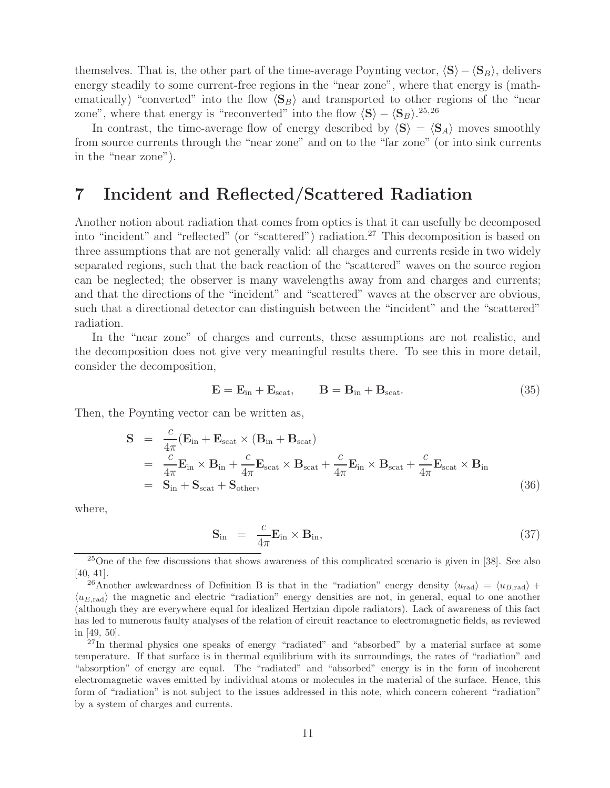themselves. That is, the other part of the time-average Poynting vector,  $\langle S \rangle - \langle S_B \rangle$ , delivers energy steadily to some current-free regions in the "near zone", where that energy is (mathematically) "converted" into the flow  $\langle S_B \rangle$  and transported to other regions of the "near zone", where that energy is "reconverted" into the flow  $\langle S \rangle - \langle S_B \rangle^{25,26}$ 

In contrast, the time-average flow of energy described by  $\langle S \rangle = \langle S_A \rangle$  moves smoothly from source currents through the "near zone" and on to the "far zone" (or into sink currents in the "near zone").

## **7 Incident and Reflected/Scattered Radiation**

Another notion about radiation that comes from optics is that it can usefully be decomposed into "incident" and "reflected" (or "scattered") radiation.<sup>27</sup> This decomposition is based on three assumptions that are not generally valid: all charges and currents reside in two widely separated regions, such that the back reaction of the "scattered" waves on the source region can be neglected; the observer is many wavelengths away from and charges and currents; and that the directions of the "incident" and "scattered" waves at the observer are obvious, such that a directional detector can distinguish between the "incident" and the "scattered" radiation.

In the "near zone" of charges and currents, these assumptions are not realistic, and the decomposition does not give very meaningful results there. To see this in more detail, consider the decomposition,

$$
\mathbf{E} = \mathbf{E}_{\text{in}} + \mathbf{E}_{\text{scat}}, \qquad \mathbf{B} = \mathbf{B}_{\text{in}} + \mathbf{B}_{\text{scat}}.
$$
 (35)

Then, the Poynting vector can be written as,

$$
\mathbf{S} = \frac{c}{4\pi} (\mathbf{E}_{in} + \mathbf{E}_{scat} \times (\mathbf{B}_{in} + \mathbf{B}_{scat})
$$
  
\n
$$
= \frac{c}{4\pi} \mathbf{E}_{in} \times \mathbf{B}_{in} + \frac{c}{4\pi} \mathbf{E}_{scat} \times \mathbf{B}_{scat} + \frac{c}{4\pi} \mathbf{E}_{in} \times \mathbf{B}_{scat} + \frac{c}{4\pi} \mathbf{E}_{scat} \times \mathbf{B}_{in}
$$
  
\n
$$
= \mathbf{S}_{in} + \mathbf{S}_{scat} + \mathbf{S}_{other},
$$
\n(36)

where,

$$
\mathbf{S}_{\text{in}} = \frac{c}{4\pi} \mathbf{E}_{\text{in}} \times \mathbf{B}_{\text{in}},
$$
\n(37)

<sup>&</sup>lt;sup>25</sup>One of the few discussions that shows awareness of this complicated scenario is given in [38]. See also [40, 41].

<sup>&</sup>lt;sup>26</sup>Another awkwardness of Definition B is that in the "radiation" energy density  $\langle u_{\text{rad}} \rangle = \langle u_{B,\text{rad}} \rangle +$  $\langle u_{E,\text{rad}} \rangle$  the magnetic and electric "radiation" energy densities are not, in general, equal to one another (although they are everywhere equal for idealized Hertzian dipole radiators). Lack of awareness of this fact has led to numerous faulty analyses of the relation of circuit reactance to electromagnetic fields, as reviewed in [49, 50].

<sup>&</sup>lt;sup>27</sup>In thermal physics one speaks of energy "radiated" and "absorbed" by a material surface at some temperature. If that surface is in thermal equilibrium with its surroundings, the rates of "radiation" and "absorption" of energy are equal. The "radiated" and "absorbed" energy is in the form of incoherent electromagnetic waves emitted by individual atoms or molecules in the material of the surface. Hence, this form of "radiation" is not subject to the issues addressed in this note, which concern coherent "radiation" by a system of charges and currents.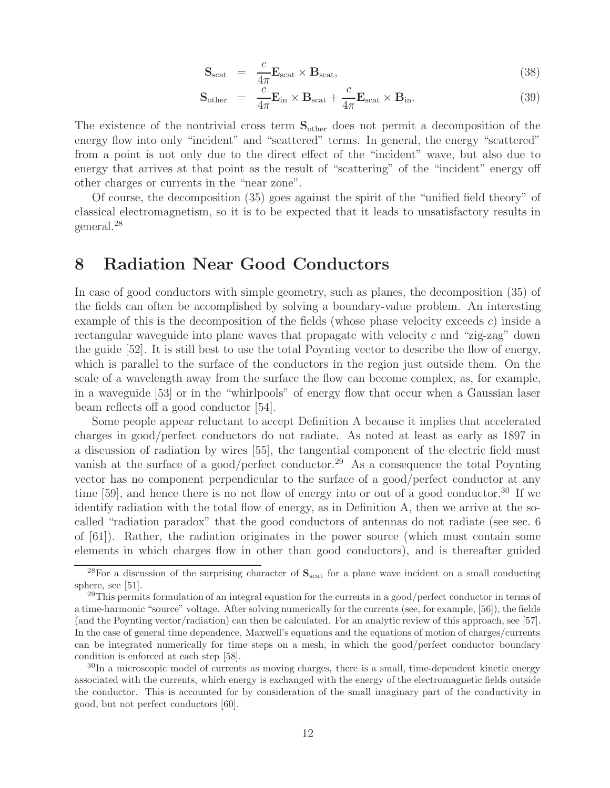$$
\mathbf{S}_{\text{scat}} = \frac{c}{4\pi} \mathbf{E}_{\text{scat}} \times \mathbf{B}_{\text{scat}}, \tag{38}
$$

$$
\mathbf{S}_{\text{other}} = \frac{c}{4\pi} \mathbf{E}_{\text{in}} \times \mathbf{B}_{\text{scat}} + \frac{c}{4\pi} \mathbf{E}_{\text{scat}} \times \mathbf{B}_{\text{in}}.
$$
 (39)

The existence of the nontrivial cross term **S**other does not permit a decomposition of the energy flow into only "incident" and "scattered" terms. In general, the energy "scattered" from a point is not only due to the direct effect of the "incident" wave, but also due to energy that arrives at that point as the result of "scattering" of the "incident" energy off other charges or currents in the "near zone".

Of course, the decomposition (35) goes against the spirit of the "unified field theory" of classical electromagnetism, so it is to be expected that it leads to unsatisfactory results in general.<sup>28</sup>

## **8 Radiation Near Good Conductors**

In case of good conductors with simple geometry, such as planes, the decomposition (35) of the fields can often be accomplished by solving a boundary-value problem. An interesting example of this is the decomposition of the fields (whose phase velocity exceeds c) inside a rectangular waveguide into plane waves that propagate with velocity  $c$  and "zig-zag" down the guide [52]. It is still best to use the total Poynting vector to describe the flow of energy, which is parallel to the surface of the conductors in the region just outside them. On the scale of a wavelength away from the surface the flow can become complex, as, for example, in a waveguide [53] or in the "whirlpools" of energy flow that occur when a Gaussian laser beam reflects off a good conductor [54].

Some people appear reluctant to accept Definition A because it implies that accelerated charges in good/perfect conductors do not radiate. As noted at least as early as 1897 in a discussion of radiation by wires [55], the tangential component of the electric field must vanish at the surface of a good/perfect conductor.<sup>29</sup> As a consequence the total Poynting vector has no component perpendicular to the surface of a good/perfect conductor at any time [59], and hence there is no net flow of energy into or out of a good conductor.<sup>30</sup> If we identify radiation with the total flow of energy, as in Definition A, then we arrive at the socalled "radiation paradox" that the good conductors of antennas do not radiate (see sec. 6 of [61]). Rather, the radiation originates in the power source (which must contain some elements in which charges flow in other than good conductors), and is thereafter guided

<sup>&</sup>lt;sup>28</sup>For a discussion of the surprising character of  $S_{scat}$  for a plane wave incident on a small conducting sphere, see [51].

 $^{29}$ This permits formulation of an integral equation for the currents in a good/perfect conductor in terms of a time-harmonic "source" voltage. After solving numerically for the currents (see, for example, [56]), the fields (and the Poynting vector/radiation) can then be calculated. For an analytic review of this approach, see [57]. In the case of general time dependence, Maxwell's equations and the equations of motion of charges/currents can be integrated numerically for time steps on a mesh, in which the good/perfect conductor boundary condition is enforced at each step [58].

 $30\text{In a microscopic model of currents as moving charges, there is a small, time-dependent kinetic energy.}$ associated with the currents, which energy is exchanged with the energy of the electromagnetic fields outside the conductor. This is accounted for by consideration of the small imaginary part of the conductivity in good, but not perfect conductors [60].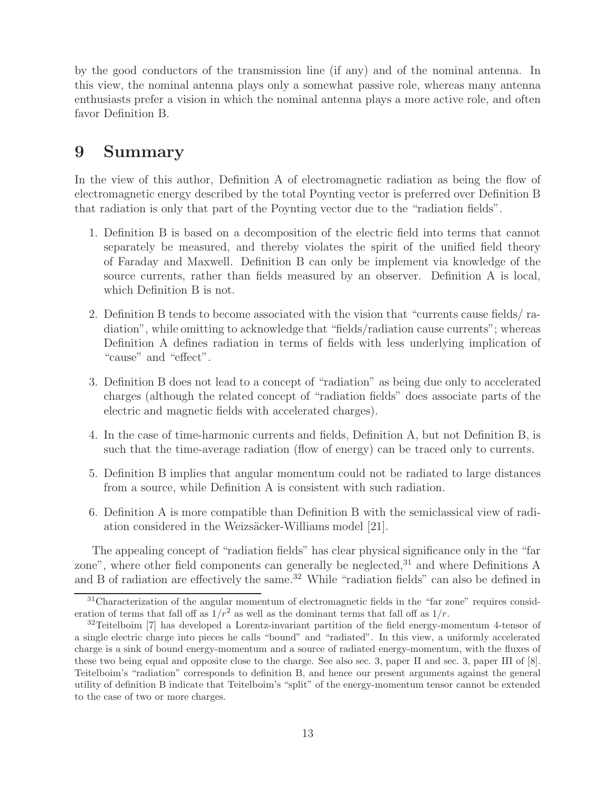by the good conductors of the transmission line (if any) and of the nominal antenna. In this view, the nominal antenna plays only a somewhat passive role, whereas many antenna enthusiasts prefer a vision in which the nominal antenna plays a more active role, and often favor Definition B.

# **9 Summary**

In the view of this author, Definition A of electromagnetic radiation as being the flow of electromagnetic energy described by the total Poynting vector is preferred over Definition B that radiation is only that part of the Poynting vector due to the "radiation fields".

- 1. Definition B is based on a decomposition of the electric field into terms that cannot separately be measured, and thereby violates the spirit of the unified field theory of Faraday and Maxwell. Definition B can only be implement via knowledge of the source currents, rather than fields measured by an observer. Definition A is local, which Definition B is not.
- 2. Definition B tends to become associated with the vision that "currents cause fields/ radiation", while omitting to acknowledge that "fields/radiation cause currents"; whereas Definition A defines radiation in terms of fields with less underlying implication of "cause" and "effect".
- 3. Definition B does not lead to a concept of "radiation" as being due only to accelerated charges (although the related concept of "radiation fields" does associate parts of the electric and magnetic fields with accelerated charges).
- 4. In the case of time-harmonic currents and fields, Definition A, but not Definition B, is such that the time-average radiation (flow of energy) can be traced only to currents.
- 5. Definition B implies that angular momentum could not be radiated to large distances from a source, while Definition A is consistent with such radiation.
- 6. Definition A is more compatible than Definition B with the semiclassical view of radiation considered in the Weizsäcker-Williams model [21].

The appealing concept of "radiation fields" has clear physical significance only in the "far zone", where other field components can generally be neglected, $31$  and where Definitions A and B of radiation are effectively the same.<sup>32</sup> While "radiation fields" can also be defined in

<sup>&</sup>lt;sup>31</sup>Characterization of the angular momentum of electromagnetic fields in the "far zone" requires consideration of terms that fall off as  $1/r^2$  as well as the dominant terms that fall off as  $1/r$ .

 $^{32}$ Teitelboim [7] has developed a Lorentz-invariant partition of the field energy-momentum 4-tensor of a single electric charge into pieces he calls "bound" and "radiated". In this view, a uniformly accelerated charge is a sink of bound energy-momentum and a source of radiated energy-momentum, with the fluxes of these two being equal and opposite close to the charge. See also sec. 3, paper II and sec. 3, paper III of [8]. Teitelboim's "radiation" corresponds to definition B, and hence our present arguments against the general utility of definition B indicate that Teitelboim's "split" of the energy-momentum tensor cannot be extended to the case of two or more charges.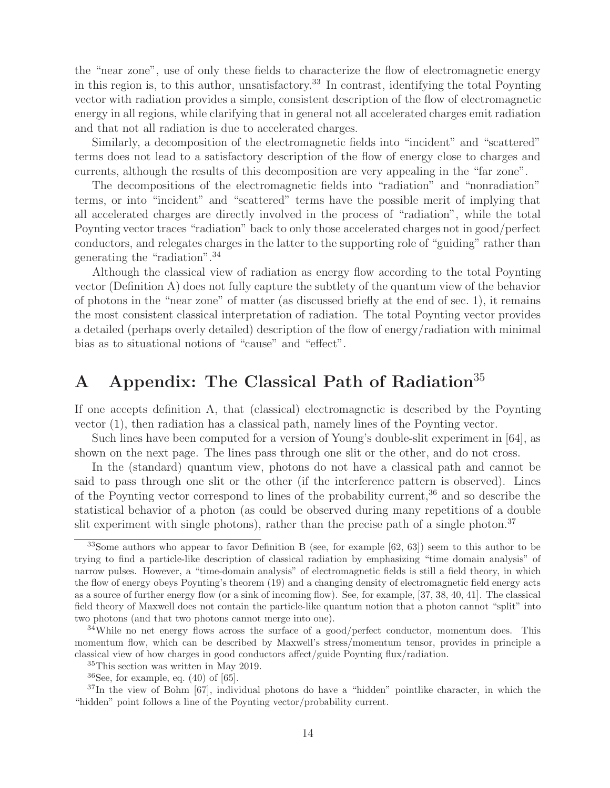the "near zone", use of only these fields to characterize the flow of electromagnetic energy in this region is, to this author, unsatisfactory.<sup>33</sup> In contrast, identifying the total Poynting vector with radiation provides a simple, consistent description of the flow of electromagnetic energy in all regions, while clarifying that in general not all accelerated charges emit radiation and that not all radiation is due to accelerated charges.

Similarly, a decomposition of the electromagnetic fields into "incident" and "scattered" terms does not lead to a satisfactory description of the flow of energy close to charges and currents, although the results of this decomposition are very appealing in the "far zone".

The decompositions of the electromagnetic fields into "radiation" and "nonradiation" terms, or into "incident" and "scattered" terms have the possible merit of implying that all accelerated charges are directly involved in the process of "radiation", while the total Poynting vector traces "radiation" back to only those accelerated charges not in good/perfect conductors, and relegates charges in the latter to the supporting role of "guiding" rather than generating the "radiation".<sup>34</sup>

Although the classical view of radiation as energy flow according to the total Poynting vector (Definition A) does not fully capture the subtlety of the quantum view of the behavior of photons in the "near zone" of matter (as discussed briefly at the end of sec. 1), it remains the most consistent classical interpretation of radiation. The total Poynting vector provides a detailed (perhaps overly detailed) description of the flow of energy/radiation with minimal bias as to situational notions of "cause" and "effect".

# **A Appendix: The Classical Path of Radiation**<sup>35</sup>

If one accepts definition A, that (classical) electromagnetic is described by the Poynting vector (1), then radiation has a classical path, namely lines of the Poynting vector.

Such lines have been computed for a version of Young's double-slit experiment in [64], as shown on the next page. The lines pass through one slit or the other, and do not cross.

In the (standard) quantum view, photons do not have a classical path and cannot be said to pass through one slit or the other (if the interference pattern is observed). Lines of the Poynting vector correspond to lines of the probability current,<sup>36</sup> and so describe the statistical behavior of a photon (as could be observed during many repetitions of a double slit experiment with single photons), rather than the precise path of a single photon.<sup>37</sup>

<sup>&</sup>lt;sup>33</sup>Some authors who appear to favor Definition B (see, for example [62, 63]) seem to this author to be trying to find a particle-like description of classical radiation by emphasizing "time domain analysis" of narrow pulses. However, a "time-domain analysis" of electromagnetic fields is still a field theory, in which the flow of energy obeys Poynting's theorem (19) and a changing density of electromagnetic field energy acts as a source of further energy flow (or a sink of incoming flow). See, for example, [37, 38, 40, 41]. The classical field theory of Maxwell does not contain the particle-like quantum notion that a photon cannot "split" into two photons (and that two photons cannot merge into one).

 $34$ While no net energy flows across the surface of a good/perfect conductor, momentum does. This momentum flow, which can be described by Maxwell's stress/momentum tensor, provides in principle a classical view of how charges in good conductors affect/guide Poynting flux/radiation.

<sup>&</sup>lt;sup>35</sup>This section was written in May 2019.

 $36$ See, for example, eq.  $(40)$  of  $[65]$ .

<sup>37</sup>In the view of Bohm [67], individual photons do have a "hidden" pointlike character, in which the "hidden" point follows a line of the Poynting vector/probability current.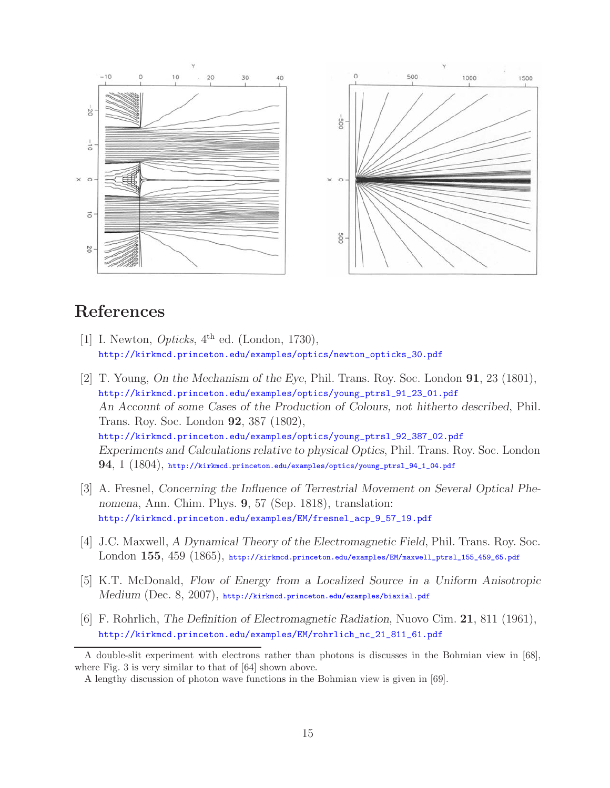

## **References**

- [1] I. Newton, *Opticks*,  $4<sup>th</sup>$  ed. (London, 1730), http://kirkmcd.princeton.edu/examples/optics/newton\_opticks\_30.pdf
- [2] T. Young, *On the Mechanism of the Eye*, Phil. Trans. Roy. Soc. London **91**, 23 (1801), http://kirkmcd.princeton.edu/examples/optics/young\_ptrsl\_91\_23\_01.pdf *An Account of some Cases of the Production of Colours, not hitherto described*, Phil. Trans. Roy. Soc. London **92**, 387 (1802), http://kirkmcd.princeton.edu/examples/optics/young\_ptrsl\_92\_387\_02.pdf *Experiments and Calculations relative to physical Optics*, Phil. Trans. Roy. Soc. London **94**, 1 (1804), http://kirkmcd.princeton.edu/examples/optics/young\_ptrsl\_94\_1\_04.pdf
- [3] A. Fresnel, *Concerning the Influence of Terrestrial Movement on Several Optical Phenomena*, Ann. Chim. Phys. **9**, 57 (Sep. 1818), translation: http://kirkmcd.princeton.edu/examples/EM/fresnel\_acp\_9\_57\_19.pdf
- [4] J.C. Maxwell, *A Dynamical Theory of the Electromagnetic Field*, Phil. Trans. Roy. Soc. London **155**, 459 (1865), http://kirkmcd.princeton.edu/examples/EM/maxwell\_ptrsl\_155\_459\_65.pdf
- [5] K.T. McDonald, *Flow of Energy from a Localized Source in a Uniform Anisotropic Medium* (Dec. 8, 2007), http://kirkmcd.princeton.edu/examples/biaxial.pdf
- [6] F. Rohrlich, *The Definition of Electromagnetic Radiation*, Nuovo Cim. **21**, 811 (1961), http://kirkmcd.princeton.edu/examples/EM/rohrlich\_nc\_21\_811\_61.pdf

A double-slit experiment with electrons rather than photons is discusses in the Bohmian view in [68], where Fig. 3 is very similar to that of [64] shown above.

A lengthy discussion of photon wave functions in the Bohmian view is given in [69].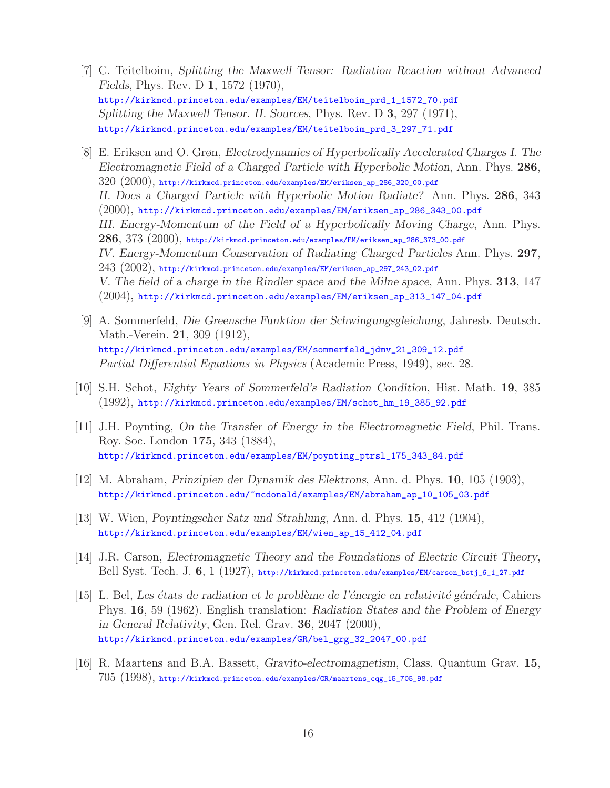- [7] C. Teitelboim, *Splitting the Maxwell Tensor: Radiation Reaction without Advanced Fields*, Phys. Rev. D **1**, 1572 (1970), http://kirkmcd.princeton.edu/examples/EM/teitelboim\_prd\_1\_1572\_70.pdf *Splitting the Maxwell Tensor. II. Sources*, Phys. Rev. D **3**, 297 (1971), http://kirkmcd.princeton.edu/examples/EM/teitelboim\_prd\_3\_297\_71.pdf
- [8] E. Eriksen and O. Grøn, *Electrodynamics of Hyperbolically Accelerated Charges I. The Electromagnetic Field of a Charged Particle with Hyperbolic Motion*, Ann. Phys. **286**,  $320$   $(2000)$ , http://kirkmcd.princeton.edu/examples/EM/eriksen\_ap\_286\_320\_00.pdf *II. Does a Charged Particle with Hyperbolic Motion Radiate?* Ann. Phys. **286**, 343 (2000), http://kirkmcd.princeton.edu/examples/EM/eriksen\_ap\_286\_343\_00.pdf *III. Energy-Momentum of the Field of a Hyperbolically Moving Charge*, Ann. Phys. **286**, 373 (2000), http://kirkmcd.princeton.edu/examples/EM/eriksen\_ap\_286\_373\_00.pdf *IV. Energy-Momentum Conservation of Radiating Charged Particles* Ann. Phys. **297**,  $243$   $(2002)$ , http://kirkmcd.princeton.edu/examples/EM/eriksen\_ap\_297\_243\_02.pdf *V. The field of a charge in the Rindler space and the Milne space*, Ann. Phys. **313**, 147 (2004), http://kirkmcd.princeton.edu/examples/EM/eriksen\_ap\_313\_147\_04.pdf
- [9] A. Sommerfeld, *Die Greensche Funktion der Schwingungsgleichung*, Jahresb. Deutsch. Math.-Verein. **21**, 309 (1912), http://kirkmcd.princeton.edu/examples/EM/sommerfeld\_jdmv\_21\_309\_12.pdf Partial Differential Equations in Physics (Academic Press, 1949), sec. 28.
- [10] S.H. Schot, *Eighty Years of Sommerfeld's Radiation Condition*, Hist. Math. **19**, 385 (1992), http://kirkmcd.princeton.edu/examples/EM/schot\_hm\_19\_385\_92.pdf
- [11] J.H. Poynting, *On the Transfer of Energy in the Electromagnetic Field*, Phil. Trans. Roy. Soc. London **175**, 343 (1884), http://kirkmcd.princeton.edu/examples/EM/poynting\_ptrsl\_175\_343\_84.pdf
- [12] M. Abraham, *Prinzipien der Dynamik des Elektrons*, Ann. d. Phys. **10**, 105 (1903), http://kirkmcd.princeton.edu/~mcdonald/examples/EM/abraham\_ap\_10\_105\_03.pdf
- [13] W. Wien, *Poyntingscher Satz und Strahlung*, Ann. d. Phys. **15**, 412 (1904), http://kirkmcd.princeton.edu/examples/EM/wien\_ap\_15\_412\_04.pdf
- [14] J.R. Carson, *Electromagnetic Theory and the Foundations of Electric Circuit Theory*, Bell Syst. Tech. J. **6**, 1 (1927), http://kirkmcd.princeton.edu/examples/EM/carson\_bstj\_6\_1\_27.pdf
- [15] L. Bel, *Les ´etats de radiation et le probl`eme de l'´energie en relativit´e g´en´erale*, Cahiers Phys. **16**, 59 (1962). English translation: *Radiation States and the Problem of Energy in General Relativity*, Gen. Rel. Grav. **36**, 2047 (2000), http://kirkmcd.princeton.edu/examples/GR/bel\_grg\_32\_2047\_00.pdf
- [16] R. Maartens and B.A. Bassett, *Gravito-electromagnetism*, Class. Quantum Grav. **15**, 705 (1998), http://kirkmcd.princeton.edu/examples/GR/maartens\_cqg\_15\_705\_98.pdf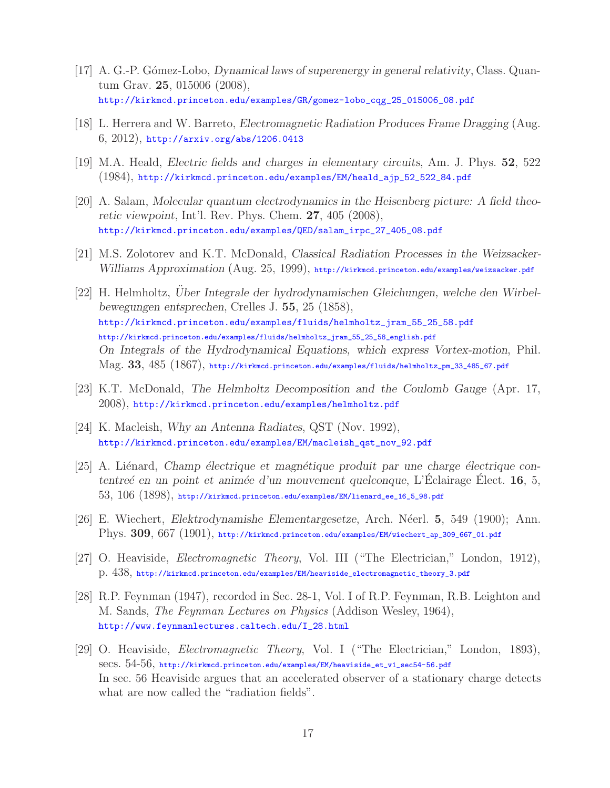- [17] A. G.-P. G´omez-Lobo, *Dynamical laws of superenergy in general relativity*, Class. Quantum Grav. **25**, 015006 (2008), http://kirkmcd.princeton.edu/examples/GR/gomez-lobo\_cqg\_25\_015006\_08.pdf
- [18] L. Herrera and W. Barreto, *Electromagnetic Radiation Produces Frame Dragging* (Aug. 6, 2012), http://arxiv.org/abs/1206.0413
- [19] M.A. Heald, *Electric fields and charges in elementary circuits*, Am. J. Phys. **52**, 522 (1984), http://kirkmcd.princeton.edu/examples/EM/heald\_ajp\_52\_522\_84.pdf
- [20] A. Salam, *Molecular quantum electrodynamics in the Heisenberg picture: A field theoretic viewpoint*, Int'l. Rev. Phys. Chem. **27**, 405 (2008), http://kirkmcd.princeton.edu/examples/QED/salam\_irpc\_27\_405\_08.pdf
- [21] M.S. Zolotorev and K.T. McDonald, *Classical Radiation Processes in the Weizsacker-Williams Approximation* (Aug. 25, 1999), http://kirkmcd.princeton.edu/examples/weizsacker.pdf
- [22] H. Helmholtz, *Uber Integrale der hydrodynamischen Gleichungen, welche den Wirbel- ¨ bewegungen entsprechen*, Crelles J. **55**, 25 (1858), http://kirkmcd.princeton.edu/examples/fluids/helmholtz\_jram\_55\_25\_58.pdf http://kirkmcd.princeton.edu/examples/fluids/helmholtz\_jram\_55\_25\_58\_english.pdf *On Integrals of the Hydrodynamical Equations, which express Vortex-motion*, Phil. Mag. **33**, 485 (1867), http://kirkmcd.princeton.edu/examples/fluids/helmholtz\_pm\_33\_485\_67.pdf
- [23] K.T. McDonald, *The Helmholtz Decomposition and the Coulomb Gauge* (Apr. 17, 2008), http://kirkmcd.princeton.edu/examples/helmholtz.pdf
- [24] K. Macleish, *Why an Antenna Radiates*, QST (Nov. 1992), http://kirkmcd.princeton.edu/examples/EM/macleish\_qst\_nov\_92.pdf
- [25] A. Liénard, *Champ électrique et magnétique produit par une charge électrique contentreé en un point et animée d'un mouvement quelconque*, L'Éclairage Élect. **16**, 5,  $53, 106$   $(1898)$ , http://kirkmcd.princeton.edu/examples/EM/lienard\_ee\_16\_5\_98.pdf
- [26] E. Wiechert, *Elektrodynamishe Elementargesetze*, Arch. N´eerl. **5**, 549 (1900); Ann. Phys. **309**, 667 (1901), http://kirkmcd.princeton.edu/examples/EM/wiechert\_ap\_309\_667\_01.pdf
- [27] O. Heaviside, Electromagnetic Theory, Vol. III ("The Electrician," London, 1912), p. 438, http://kirkmcd.princeton.edu/examples/EM/heaviside\_electromagnetic\_theory\_3.pdf
- [28] R.P. Feynman (1947), recorded in Sec. 28-1, Vol. I of R.P. Feynman, R.B. Leighton and M. Sands, The Feynman Lectures on Physics (Addison Wesley, 1964), http://www.feynmanlectures.caltech.edu/I\_28.html
- [29] O. Heaviside, Electromagnetic Theory, Vol. I ("The Electrician," London, 1893), secs. 54-56, http://kirkmcd.princeton.edu/examples/EM/heaviside\_et\_v1\_sec54-56.pdf In sec. 56 Heaviside argues that an accelerated observer of a stationary charge detects what are now called the "radiation fields".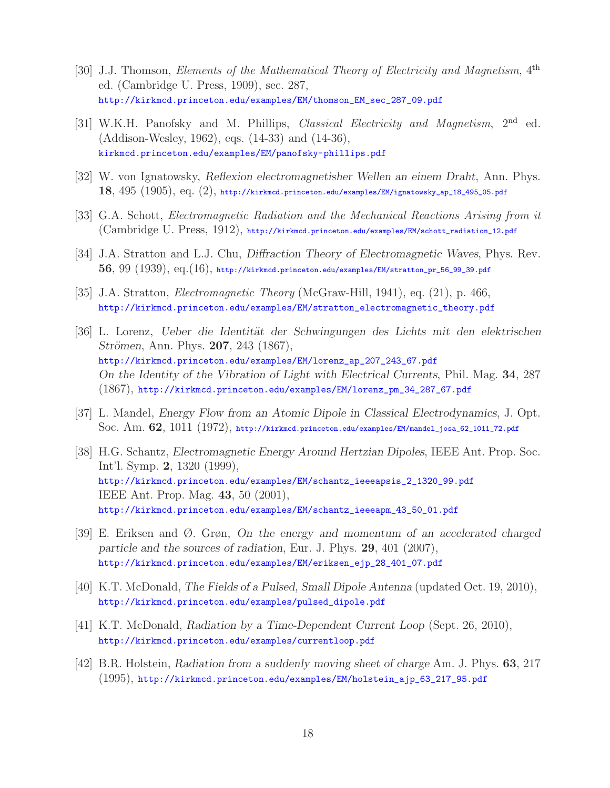- [30] J.J. Thomson, Elements of the Mathematical Theory of Electricity and Magnetism, 4<sup>th</sup> ed. (Cambridge U. Press, 1909), sec. 287, http://kirkmcd.princeton.edu/examples/EM/thomson\_EM\_sec\_287\_09.pdf
- [31] W.K.H. Panofsky and M. Phillips, *Classical Electricity and Magnetism*, 2<sup>nd</sup> ed. (Addison-Wesley, 1962), eqs. (14-33) and (14-36), kirkmcd.princeton.edu/examples/EM/panofsky-phillips.pdf
- [32] W. von Ignatowsky, *Reflexion electromagnetisher Wellen an einem Draht*, Ann. Phys. **18**, 495 (1905), eq. (2), http://kirkmcd.princeton.edu/examples/EM/ignatowsky\_ap\_18\_495\_05.pdf
- [33] G.A. Schott, Electromagnetic Radiation and the Mechanical Reactions Arising from it (Cambridge U. Press, 1912), http://kirkmcd.princeton.edu/examples/EM/schott\_radiation\_12.pdf
- [34] J.A. Stratton and L.J. Chu, *Diffraction Theory of Electromagnetic Waves*, Phys. Rev. **56**, 99 (1939), eq.(16), http://kirkmcd.princeton.edu/examples/EM/stratton\_pr\_56\_99\_39.pdf
- [35] J.A. Stratton, Electromagnetic Theory (McGraw-Hill, 1941), eq. (21), p. 466, http://kirkmcd.princeton.edu/examples/EM/stratton\_electromagnetic\_theory.pdf
- [36] L. Lorenz, *Ueber die Identit¨at der Schwingungen des Lichts mit den elektrischen Strömen, Ann. Phys.* **207**, 243 (1867), http://kirkmcd.princeton.edu/examples/EM/lorenz\_ap\_207\_243\_67.pdf *On the Identity of the Vibration of Light with Electrical Currents*, Phil. Mag. **34**, 287 (1867), http://kirkmcd.princeton.edu/examples/EM/lorenz\_pm\_34\_287\_67.pdf
- [37] L. Mandel, *Energy Flow from an Atomic Dipole in Classical Electrodynamics*, J. Opt. Soc. Am. **62**, 1011 (1972), http://kirkmcd.princeton.edu/examples/EM/mandel\_josa\_62\_1011\_72.pdf
- [38] H.G. Schantz, *Electromagnetic Energy Around Hertzian Dipoles*, IEEE Ant. Prop. Soc. Int'l. Symp. **2**, 1320 (1999), http://kirkmcd.princeton.edu/examples/EM/schantz\_ieeeapsis\_2\_1320\_99.pdf IEEE Ant. Prop. Mag. **43**, 50 (2001), http://kirkmcd.princeton.edu/examples/EM/schantz\_ieeeapm\_43\_50\_01.pdf
- [39] E. Eriksen and Ø. Grøn, *On the energy and momentum of an accelerated charged particle and the sources of radiation*, Eur. J. Phys. **29**, 401 (2007), http://kirkmcd.princeton.edu/examples/EM/eriksen\_ejp\_28\_401\_07.pdf
- [40] K.T. McDonald, *The Fields of a Pulsed, Small Dipole Antenna* (updated Oct. 19, 2010), http://kirkmcd.princeton.edu/examples/pulsed\_dipole.pdf
- [41] K.T. McDonald, *Radiation by a Time-Dependent Current Loop* (Sept. 26, 2010), http://kirkmcd.princeton.edu/examples/currentloop.pdf
- [42] B.R. Holstein, *Radiation from a suddenly moving sheet of charge* Am. J. Phys. **63**, 217 (1995), http://kirkmcd.princeton.edu/examples/EM/holstein\_ajp\_63\_217\_95.pdf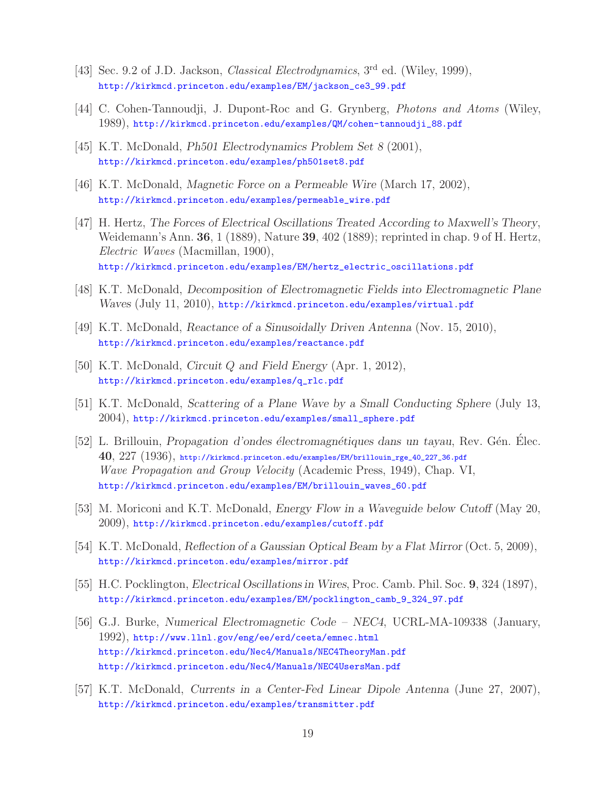- [43] Sec. 9.2 of J.D. Jackson, *Classical Electrodynamics*, 3<sup>rd</sup> ed. (Wiley, 1999), http://kirkmcd.princeton.edu/examples/EM/jackson\_ce3\_99.pdf
- [44] C. Cohen-Tannoudji, J. Dupont-Roc and G. Grynberg, Photons and Atoms (Wiley, 1989), http://kirkmcd.princeton.edu/examples/QM/cohen-tannoudji\_88.pdf
- [45] K.T. McDonald, *Ph501 Electrodynamics Problem Set 8* (2001), http://kirkmcd.princeton.edu/examples/ph501set8.pdf
- [46] K.T. McDonald, *Magnetic Force on a Permeable Wire* (March 17, 2002), http://kirkmcd.princeton.edu/examples/permeable\_wire.pdf
- [47] H. Hertz, *The Forces of Electrical Oscillations Treated According to Maxwell's Theory*, Weidemann's Ann. **36**, 1 (1889), Nature **39**, 402 (1889); reprinted in chap. 9 of H. Hertz, Electric Waves (Macmillan, 1900), http://kirkmcd.princeton.edu/examples/EM/hertz\_electric\_oscillations.pdf
- [48] K.T. McDonald, *Decomposition of Electromagnetic Fields into Electromagnetic Plane Waves* (July 11, 2010), http://kirkmcd.princeton.edu/examples/virtual.pdf
- [49] K.T. McDonald, *Reactance of a Sinusoidally Driven Antenna* (Nov. 15, 2010), http://kirkmcd.princeton.edu/examples/reactance.pdf
- [50] K.T. McDonald, *Circuit* Q *and Field Energy* (Apr. 1, 2012), http://kirkmcd.princeton.edu/examples/q\_rlc.pdf
- [51] K.T. McDonald, *Scattering of a Plane Wave by a Small Conducting Sphere* (July 13, 2004), http://kirkmcd.princeton.edu/examples/small\_sphere.pdf
- [52] L. Brillouin, *Propagation d'ondes électromagnétiques dans un tayau*, Rev. Gén. Elec. **40**, 227 (1936), http://kirkmcd.princeton.edu/examples/EM/brillouin\_rge\_40\_227\_36.pdf Wave Propagation and Group Velocity (Academic Press, 1949), Chap. VI, http://kirkmcd.princeton.edu/examples/EM/brillouin\_waves\_60.pdf
- [53] M. Moriconi and K.T. McDonald, *Energy Flow in a Waveguide below Cutoff* (May 20, 2009), http://kirkmcd.princeton.edu/examples/cutoff.pdf
- [54] K.T. McDonald, *Reflection of a Gaussian Optical Beam by a Flat Mirror* (Oct. 5, 2009), http://kirkmcd.princeton.edu/examples/mirror.pdf
- [55] H.C. Pocklington, *Electrical Oscillations in Wires*, Proc. Camb. Phil. Soc. **9**, 324 (1897), http://kirkmcd.princeton.edu/examples/EM/pocklington\_camb\_9\_324\_97.pdf
- [56] G.J. Burke, *Numerical Electromagnetic Code NEC4*, UCRL-MA-109338 (January, 1992), http://www.llnl.gov/eng/ee/erd/ceeta/emnec.html http://kirkmcd.princeton.edu/Nec4/Manuals/NEC4TheoryMan.pdf http://kirkmcd.princeton.edu/Nec4/Manuals/NEC4UsersMan.pdf
- [57] K.T. McDonald, *Currents in a Center-Fed Linear Dipole Antenna* (June 27, 2007), http://kirkmcd.princeton.edu/examples/transmitter.pdf